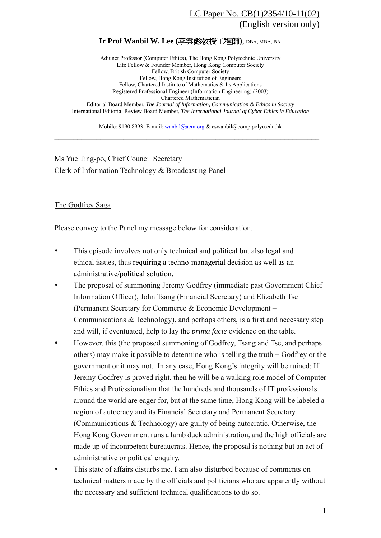## LC Paper No. CB(1)2354/10-11(02) (English version only)

## **Ir Prof Wanbil W. Lee (**李雲彪敎授工程師**)**, DBA, MBA, BA

Adjunct Professor (Computer Ethics), The Hong Kong Polytechnic University Life Fellow & Founder Member, Hong Kong Computer Society Fellow, British Computer Society Fellow, Hong Kong Institution of Engineers Fellow, Chartered Institute of Mathematics & Its Applications Registered Professional Engineer (Information Engineering) (2003) Chartered Mathematician Editorial Board Member, *The Journal of Information, Communication & Ethics in Society* International Editorial Review Board Member, *The International Journal of Cyber Ethics in Education*

Mobile: 9190 8993; E-mail: wanbil@acm.org & cswanbil@comp.polyu.edu.hk  $\_$  , and the contribution of the contribution of  $\mathcal{L}_\mathcal{A}$  , and the contribution of  $\mathcal{L}_\mathcal{A}$ 

Ms Yue Ting-po, Chief Council Secretary Clerk of Information Technology & Broadcasting Panel

## The Godfrey Saga

Please convey to the Panel my message below for consideration.

- This episode involves not only technical and political but also legal and ethical issues, thus requiring a techno-managerial decision as well as an administrative/political solution.
- The proposal of summoning Jeremy Godfrey (immediate past Government Chief Information Officer), John Tsang (Financial Secretary) and Elizabeth Tse (Permanent Secretary for Commerce & Economic Development – Communications & Technology), and perhaps others, is a first and necessary step and will, if eventuated, help to lay the *prima facie* evidence on the table.
- However, this (the proposed summoning of Godfrey, Tsang and Tse, and perhaps others) may make it possible to determine who is telling the truth − Godfrey or the government or it may not. In any case, Hong Kong's integrity will be ruined: If Jeremy Godfrey is proved right, then he will be a walking role model of Computer Ethics and Professionalism that the hundreds and thousands of IT professionals around the world are eager for, but at the same time, Hong Kong will be labeled a region of autocracy and its Financial Secretary and Permanent Secretary (Communications & Technology) are guilty of being autocratic. Otherwise, the Hong Kong Government runs a lamb duck administration, and the high officials are made up of incompetent bureaucrats. Hence, the proposal is nothing but an act of administrative or political enquiry.
- y This state of affairs disturbs me. I am also disturbed because of comments on technical matters made by the officials and politicians who are apparently without the necessary and sufficient technical qualifications to do so.